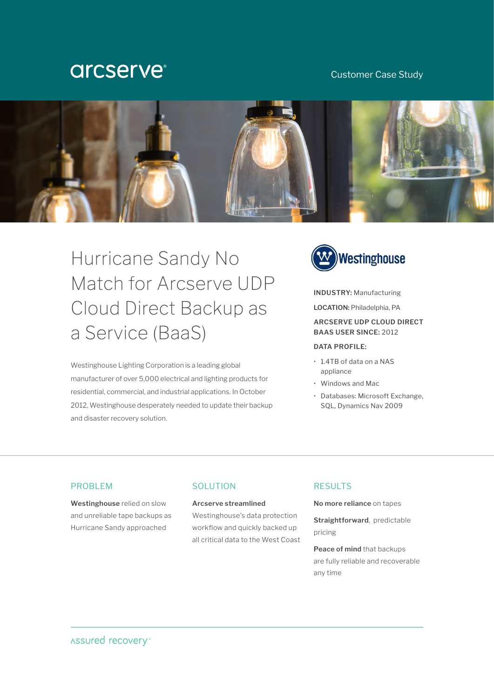# **arcserve**®

# Customer Case Study



Hurricane Sandy No Match for Arcserve UDP Cloud Direct Backup as a Service (BaaS)

Westinghouse Lighting Corporation is a leading global manufacturer of over 5,000 electrical and lighting products for residential, commercial, and industrial applications. In October 2012, Westinghouse desperately needed to update their backup and disaster recovery solution.



# **INDUSTRY:** Manufacturing

**LOCATION:** Philadelphia, PA

## **ARCSERVE UDP CLOUD DIRECT BAAS USER SINCE:** 2012

#### **DATA PROFILE:**

- 1.4TB of data on a NAS appliance
- Windows and Mac
- Databases: Microsoft Exchange, SQL, Dynamics Nav 2009

### PROBLEM

**Westinghouse** relied on slow and unreliable tape backups as Hurricane Sandy approached

## SOLUTION

## **Arcserve streamlined**

Westinghouse's data protection workflow and quickly backed up all critical data to the West Coast

# **RESULTS**

**No more reliance** on tapes

**Straightforward**, predictable pricing

**Peace of mind** that backups are fully reliable and recoverable any time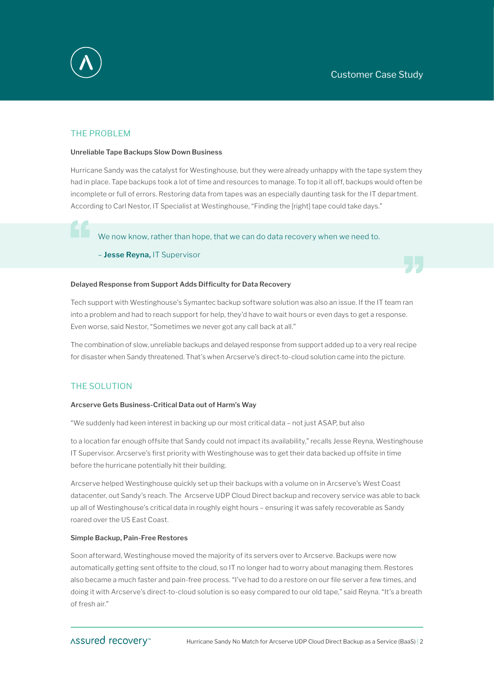

# THE PROBLEM

#### **Unreliable Tape Backups Slow Down Business**

Hurricane Sandy was the catalyst for Westinghouse, but they were already unhappy with the tape system they had in place. Tape backups took a lot of time and resources to manage. To top it all off, backups would often be incomplete or full of errors. Restoring data from tapes was an especially daunting task for the IT department. According to Carl Nestor, IT Specialist at Westinghouse, "Finding the [right] tape could take days."

We now know, rather than hope, that we can do data recovery when we need to.

– **Jesse Reyna,** IT Supervisor

#### **Delayed Response from Support Adds Difficulty for Data Recovery**

Tech support with Westinghouse's Symantec backup software solution was also an issue. If the IT team ran into a problem and had to reach support for help, they'd have to wait hours or even days to get a response. Even worse, said Nestor, "Sometimes we never got any call back at all."

The combination of slow, unreliable backups and delayed response from support added up to a very real recipe for disaster when Sandy threatened. That's when Arcserve's direct-to-cloud solution came into the picture.

## THE SOLUTION

#### **Arcserve Gets Business-Critical Data out of Harm's Way**

"We suddenly had keen interest in backing up our most critical data – not just ASAP, but also

to a location far enough offsite that Sandy could not impact its availability," recalls Jesse Reyna, Westinghouse IT Supervisor. Arcserve's first priority with Westinghouse was to get their data backed up offsite in time before the hurricane potentially hit their building.

Arcserve helped Westinghouse quickly set up their backups with a volume on in Arcserve's West Coast datacenter, out Sandy's reach. The Arcserve UDP Cloud Direct backup and recovery service was able to back up all of Westinghouse's critical data in roughly eight hours – ensuring it was safely recoverable as Sandy roared over the US East Coast.

#### **Simple Backup, Pain-Free Restores**

Soon afterward, Westinghouse moved the majority of its servers over to Arcserve. Backups were now automatically getting sent offsite to the cloud, so IT no longer had to worry about managing them. Restores also became a much faster and pain-free process. "I've had to do a restore on our file server a few times, and doing it with Arcserve's direct-to-cloud solution is so easy compared to our old tape," said Reyna. "It's a breath of fresh air."